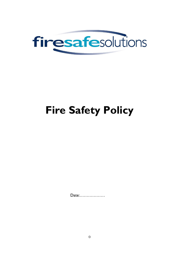

# **Fire Safety Policy**

Date:..................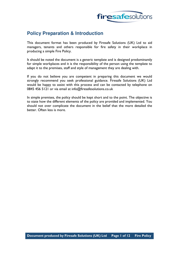

## **Policy Preparation & Introduction**

This document format has been produced by Firesafe Solutions (UK) Ltd to aid managers, tenants and others responsible for fire safety in their workplace in producing a simple Fire Policy.

It should be noted the document is a generic template and is designed predominantly for simple workplaces and it is the responsibility of the person using the template to adapt it to the premises, staff and style of management they are dealing with.

If you do not believe you are competent in preparing this document we would strongly recommend you seek professional guidance. Firesafe Solutions (UK) Ltd would be happy to assist with this process and can be contacted by telephone on 0845 456 5121 or via email at info@firesafesolutions.co.uk

In simple premises, the policy should be kept short and to the point. The objective is to state how the different elements of the policy are provided and implemented. You should not over complicate the document in the belief that the more detailed the better. Often less is more.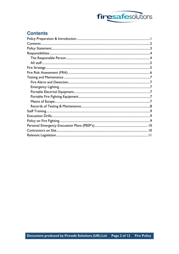

## **Contents**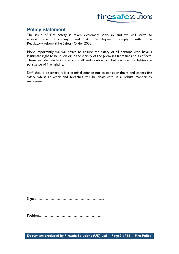

## **Policy Statement**

The issue of Fire Safety is taken extremely seriously and we will strive to ensure the Company and its employees comply with the Regulatory reform (Fire Safety) Order 2005.

More importantly we will strive to ensure the safety of all persons who have a legitimate right to be in, on or in the vicinity of the premises from fire and its effects. These include residents, visitors, staff and contractors but exclude fire fighters in pursuance of fire fighting.

Staff should be aware it is a criminal offence not to consider theirs and others fire safety whilst at work and breaches will be dealt with in a robust manner by management.

Signed ………………………………………………..

Position………………………………………………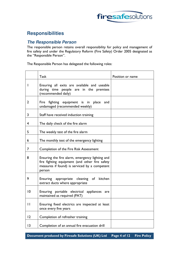

## **Responsibilities**

#### **The Responsible Person**

The responsible person retains overall responsibility for policy and management of fire safety and under the Regulatory Reform (Fire Safety) Order 2005 designated as the "Responsible Person".

The Responsible Person has delegated the following roles:

|              | <b>Task</b>                                                                                                                                                  | Position or name |
|--------------|--------------------------------------------------------------------------------------------------------------------------------------------------------------|------------------|
|              | Ensuring all exits are available and useable<br>during time people are in the premises<br>(recommended daily)                                                |                  |
| 2            | fighting equipment is in place<br>Fire<br>and<br>undamaged (recommended weekly)                                                                              |                  |
| 3            | Staff have received induction training                                                                                                                       |                  |
| 4            | The daily check of the fire alarm                                                                                                                            |                  |
| 5            | The weekly test of the fire alarm                                                                                                                            |                  |
| 6            | The monthly test of the emergency lighting                                                                                                                   |                  |
| 7            | Completion of the Fire Risk Assessment                                                                                                                       |                  |
| 8            | Ensuring the fire alarm, emergency lighting and<br>fire fighting equipment (and other fire safety<br>measures if found) is serviced by a competent<br>person |                  |
| 9            | Ensuring appropriate cleaning of<br>kitchen<br>extract ducts where appropriate                                                                               |                  |
| 10           | Ensuring portable electrical appliances are<br>maintained as required (PAT)                                                                                  |                  |
| $\mathbf{I}$ | Ensuring fixed electrics are inspected at least<br>once every five years                                                                                     |                  |
| 12           | Completion of refresher training                                                                                                                             |                  |
| 3            | Completion of an annual fire evacuation drill                                                                                                                |                  |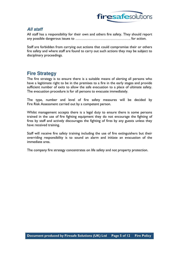

#### **All staff**

All staff has a responsibility for their own and others fire safety. They should report any possible dangerous issues to ………………………………………. for action.

Staff are forbidden from carrying out actions that could compromise their or others fire safety and where staff are found to carry out such actions they may be subject to disciplinary proceedings.

## **Fire Strategy**

The fire strategy is to ensure there is a suitable means of alerting all persons who have a legitimate right to be in the premises to a fire in the early stages and provide sufficient number of exits to allow the safe evacuation to a place of ultimate safety. The evacuation procedure is for all persons to evacuate immediately.

The type, number and level of fire safety measures will be decided by Fire Risk Assessment carried out by a competent person.

Whilst management accepts there is a legal duty to ensure there is some persons trained in the use of fire fighting equipment they do not encourage the fighting of fires by staff and actively discourages the fighting of fires by any guests unless they have received training.

Staff will receive fire safety training including the use of fire extinguishers but their overriding responsibility is to sound an alarm and initiate an evacuation of the immediate area.

The company fire strategy concentrates on life safety and not property protection.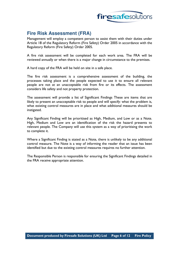

## **Fire Risk Assessment (FRA)**

Management will employ a competent person to assist them with their duties under Article 18 of the Regulatory Reform (Fire Safety) Order 2005 in accordance with the Regulatory Reform (Fire Safety) Order 2005.

A fire risk assessment will be completed for each work area. The FRA will be reviewed annually or when there is a major change in circumstance to the premises.

A hard copy of the FRA will be held on site in a safe place.

The fire risk assessment is a comprehensive assessment of the building, the processes taking place and the people expected to use it to ensure all relevant people are not at an unacceptable risk from fire or its effects. The assessment considers life safety and not property protection.

The assessment will provide a list of Significant Findings These are items that are likely to present an unacceptable risk to people and will specify: what the problem is, what existing control measures are in place and what additional measures should be instigated.

Any Significant Finding will be prioritised as High, Medium, and Low or as a Note. High, Medium and Low are an identification of the risk the hazard presents to relevant people. The Company will use this system as a way of prioritising the work to complete it.

Where a Significant Finding is stated as a Note, there is unlikely to be any additional control measure. The Note is a way of informing the reader that an issue has been identified but due to the existing control measures requires no further attention.

The Responsible Person is responsible for ensuring the Significant Findings detailed in the FRA receive appropriate attention.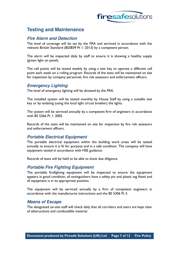

### **Testing and Maintenance**

#### **Fire Alarm and Detection**

The level of coverage will be set by the FRA and serviced in accordance with the relevant British Standard (BS5839 Pt 1: 2013) by a competent person.

The alarm will be inspected daily by staff to ensure it is showing a healthy supply (green light on panel).

The call points will be tested weekly by using a test key to operate a different call point each week on a rolling program. Records of the tests will be maintained on site for inspection by company personnel, fire risk assessors and enforcement officers.

#### **Emergency Lighting**

The level of emergency lighting will be dictated by the FRA.

The installed system will be tested monthly by House Staff by using a suitable test key or by isolating (using the local light circuit breaker) the lights.

The system will be serviced annually by a competent firm of engineers in accordance with BS 5266 Pt 1: 2005.

Records of the tests will be maintained on site for inspection by fire risk assessors and enforcement officers.

#### **Portable Electrical Equipment**

The portable electrical equipment within the building work areas will be tested annually to ensure it is fit for purpose and in a safe condition. The company will have equipment tested in accordance with HSE guidance.

Records of tests will be held to be able to show due diligence.

#### **Portable Fire Fighting Equipment**

The portable firefighting equipment will be inspected to ensure the equipment appears in good condition, all extinguishers have a safety pin and plastic tag fitted and all equipment is in its appropriate position.

The equipment will be serviced annually by a firm of competent engineers in accordance with the manufactures instructions and the BS 5306 Pt 3.

#### **Means of Escape**

The designated on-site staff will check daily that all corridors and stairs are kept clear of obstructions and combustible material.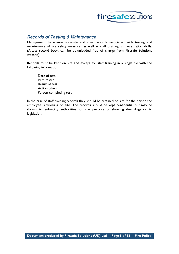

#### **Records of Testing & Maintenance**

Management to ensure accurate and true records associated with testing and maintenance of fire safety measures as well as staff training and evacuation drills. (A test record book can be downloaded free of charge from Firesafe Solutions website)

Records must be kept on site and except for staff training in a single file with the following information:

 Date of test Item tested Result of test Action taken Person completing test

In the case of staff training records they should be retained on site for the period the employee is working on site. The records should be kept confidential but may be shown to enforcing authorities for the purpose of showing due diligence to legislation.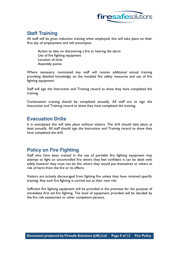

## **Staff Training**

All staff will be given induction training when employed; this will take place on their first day of employment and will encompass:

Action to take on discovering a fire or hearing the alarm Use of fire fighting equipment Location of exits Assembly points

Where necessary, nominated key staff will receive additional annual training providing detailed knowledge on the installed fire safety measures and use of fire fighting equipment.

Staff will sign the Instruction and Training record to show they have completed the training.

Continuation training should be completed annually. All staff are to sign the Instruction and Training record to show they have completed the training.

#### **Evacuation Drills**

It is anticipated this will take place without visitors. The drill should take place at least annually. All staff should sign the Instruction and Training record to show they have completed the drill.

## **Policy on Fire Fighting**

Staff who have been trained in the use of portable fire fighting equipment may attempt to fight an uncontrolled fire where they feel confident it can be dealt with safely however they must not do this where they would put themselves or others at risk of harm from the fire or its effects.

Visitors are actively discouraged from fighting fire unless they have received specific training. Any such fire fighting is carried out at their own risk.

Sufficient fire fighting equipment will be provided in the premises for the purpose of immediate first aid fire fighting. The level of equipment provided will be decided by the fire risk assessment or other competent persons.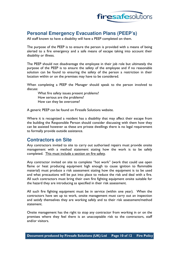

## **Personal Emergency Evacuation Plans (PEEP's)**

All staff known to have a disability will have a PEEP completed on them.

The purpose of the PEEP is to ensure the person is provided with a means of being alerted to a fire emergency and a safe means of escape taking into account their disability or illness.

The PEEP should not disadvantage the employee in their job role but ultimately the purpose of the PEEP is to ensure the safety of the employee and if no reasonable solution can be found to ensuring the safety of the person a restriction in their location within or on the premises may have to be considered.

When completing a PEEP the Manager should speak to the person involved to discuss:

What fire safety issues present problems? How serious are the problems? How can they be overcome?

A generic PEEP can be found on Firesafe Solutions website.

Where it is recognized a resident has a disability that may affect their escape from the building the Responsible Person should consider discussing with them how they can be assisted however as these are private dwellings there is no legal requirement to formally provide outside assistance.

#### **Contractors on Site**

Any contractors invited to site to carry out authorised repairs must provide onsite management with a method statement stating how the work is to be safely completed. This must include a section on fire safety.

Any contractor invited on site to complete "hot work" (work that could use open flame or heat producing equipment high enough to cause ignition to flammable material) must produce a risk assessment stating how the equipment is to be used and what precautions will be put into place to reduce the risk and deal with a fire. All such contractors must bring their own fire fighting equipment onsite suitable for the hazard they are introducing as specified in their risk assessment.

All such fire fighting equipment must be in service (within one year). When the contractors have set up to work, onsite management must carry out an inspection and satisfy themselves they are working safely and to their risk assessment/method statement.

Onsite management has the right to stop any contractor from working in or on the premises where they feel there is an unacceptable risk to the contractors, staff and/or visitors.